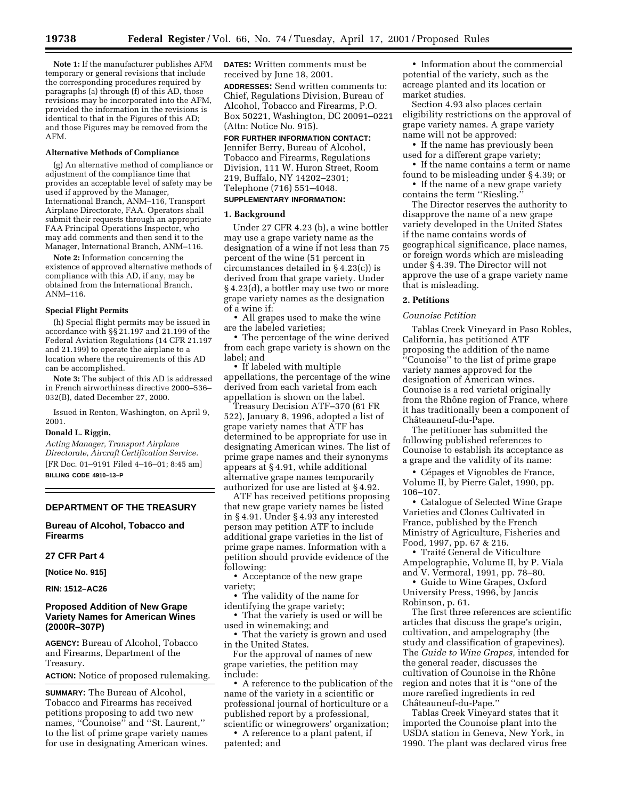**Note 1:** If the manufacturer publishes AFM temporary or general revisions that include the corresponding procedures required by paragraphs (a) through (f) of this AD, those revisions may be incorporated into the AFM, provided the information in the revisions is identical to that in the Figures of this AD; and those Figures may be removed from the AFM.

#### **Alternative Methods of Compliance**

(g) An alternative method of compliance or adjustment of the compliance time that provides an acceptable level of safety may be used if approved by the Manager, International Branch, ANM–116, Transport Airplane Directorate, FAA. Operators shall submit their requests through an appropriate FAA Principal Operations Inspector, who may add comments and then send it to the Manager, International Branch, ANM–116.

**Note 2:** Information concerning the existence of approved alternative methods of compliance with this AD, if any, may be obtained from the International Branch, ANM–116.

#### **Special Flight Permits**

(h) Special flight permits may be issued in accordance with §§ 21.197 and 21.199 of the Federal Aviation Regulations (14 CFR 21.197 and 21.199) to operate the airplane to a location where the requirements of this AD can be accomplished.

**Note 3:** The subject of this AD is addressed in French airworthiness directive 2000–536– 032(B), dated December 27, 2000.

Issued in Renton, Washington, on April 9, 2001.

#### **Donald L. Riggin,**

*Acting Manager, Transport Airplane Directorate, Aircraft Certification Service.* [FR Doc. 01–9191 Filed 4–16–01; 8:45 am] **BILLING CODE 4910–13–P**

# **DEPARTMENT OF THE TREASURY**

**Bureau of Alcohol, Tobacco and Firearms**

**27 CFR Part 4**

**[Notice No. 915]**

**RIN: 1512–AC26**

# **Proposed Addition of New Grape Variety Names for American Wines (2000R–307P)**

**AGENCY:** Bureau of Alcohol, Tobacco and Firearms, Department of the Treasury.

**ACTION:** Notice of proposed rulemaking.

**SUMMARY:** The Bureau of Alcohol, Tobacco and Firearms has received petitions proposing to add two new names, "Counoise" and "St. Laurent," to the list of prime grape variety names for use in designating American wines. **DATES:** Written comments must be received by June 18, 2001.

**ADDRESSES:** Send written comments to: Chief, Regulations Division, Bureau of Alcohol, Tobacco and Firearms, P.O. Box 50221, Washington, DC 20091–0221 (Attn: Notice No. 915).

**FOR FURTHER INFORMATION CONTACT:**

Jennifer Berry, Bureau of Alcohol, Tobacco and Firearms, Regulations Division, 111 W. Huron Street, Room 219, Buffalo, NY 14202–2301; Telephone (716) 551–4048.

# **SUPPLEMENTARY INFORMATION:**

#### **1. Background**

Under 27 CFR 4.23 (b), a wine bottler may use a grape variety name as the designation of a wine if not less than 75 percent of the wine (51 percent in circumstances detailed in § 4.23(c)) is derived from that grape variety. Under § 4.23(d), a bottler may use two or more grape variety names as the designation of a wine if:

• All grapes used to make the wine are the labeled varieties;

• The percentage of the wine derived from each grape variety is shown on the label; and

• If labeled with multiple appellations, the percentage of the wine derived from each varietal from each appellation is shown on the label.

Treasury Decision ATF–370 (61 FR 522), January 8, 1996, adopted a list of grape variety names that ATF has determined to be appropriate for use in designating American wines. The list of prime grape names and their synonyms appears at § 4.91, while additional alternative grape names temporarily authorized for use are listed at § 4.92.

ATF has received petitions proposing that new grape variety names be listed in § 4.91. Under § 4.93 any interested person may petition ATF to include additional grape varieties in the list of prime grape names. Information with a petition should provide evidence of the following:

• Acceptance of the new grape variety;

• The validity of the name for identifying the grape variety;

• That the variety is used or will be used in winemaking; and

• That the variety is grown and used in the United States.

For the approval of names of new grape varieties, the petition may include:

• A reference to the publication of the name of the variety in a scientific or professional journal of horticulture or a published report by a professional, scientific or winegrowers' organization;

• A reference to a plant patent, if patented; and

• Information about the commercial potential of the variety, such as the acreage planted and its location or market studies.

Section 4.93 also places certain eligibility restrictions on the approval of grape variety names. A grape variety name will not be approved:

• If the name has previously been used for a different grape variety;

• If the name contains a term or name found to be misleading under § 4.39; or

• If the name of a new grape variety contains the term ''Riesling.''

The Director reserves the authority to disapprove the name of a new grape variety developed in the United States if the name contains words of geographical significance, place names, or foreign words which are misleading under § 4.39. The Director will not approve the use of a grape variety name that is misleading.

# **2. Petitions**

#### *Counoise Petition*

Tablas Creek Vineyard in Paso Robles, California, has petitioned ATF proposing the addition of the name ''Counoise'' to the list of prime grape variety names approved for the designation of American wines. Counoise is a red varietal originally from the Rhône region of France, where it has traditionally been a component of Châteauneuf-du-Pape.

The petitioner has submitted the following published references to Counoise to establish its acceptance as a grape and the validity of its name:

• Cépages et Vignobles de France, Volume II, by Pierre Galet, 1990, pp. 106–107.

• Catalogue of Selected Wine Grape Varieties and Clones Cultivated in France, published by the French Ministry of Agriculture, Fisheries and Food, 1997, pp. 67 & 216.

• Traité General de Viticulture Ampelographie, Volume II, by P. Viala and V. Vermoral, 1991, pp. 78–80.

• Guide to Wine Grapes, Oxford University Press, 1996, by Jancis Robinson, p. 61.

The first three references are scientific articles that discuss the grape's origin, cultivation, and ampelography (the study and classification of grapevines). The *Guide to Wine Grapes,* intended for the general reader, discusses the cultivation of Counoise in the Rhône region and notes that it is ''one of the more rarefied ingredients in red Châteauneuf-du-Pape."

Tablas Creek Vineyard states that it imported the Counoise plant into the USDA station in Geneva, New York, in 1990. The plant was declared virus free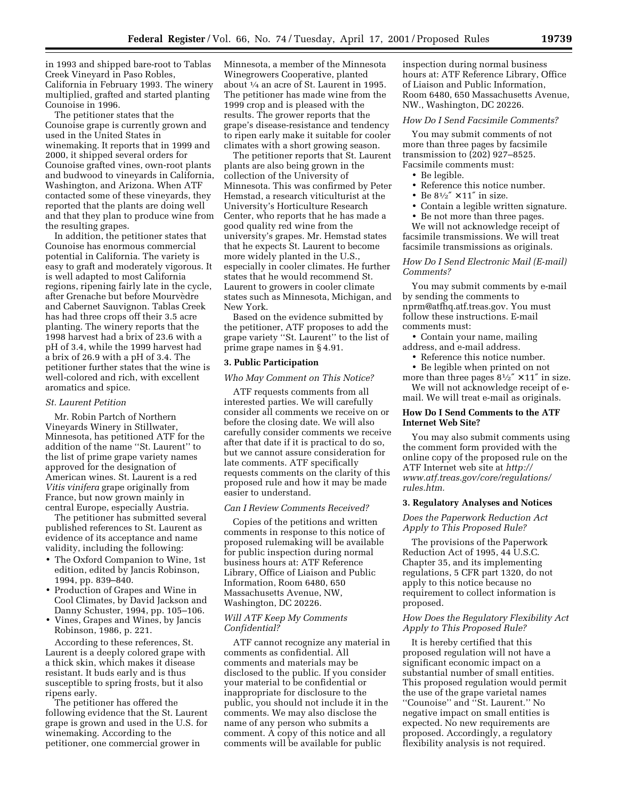in 1993 and shipped bare-root to Tablas Creek Vineyard in Paso Robles, California in February 1993. The winery multiplied, grafted and started planting Counoise in 1996.

The petitioner states that the Counoise grape is currently grown and used in the United States in winemaking. It reports that in 1999 and 2000, it shipped several orders for Counoise grafted vines, own-root plants and budwood to vineyards in California, Washington, and Arizona. When ATF contacted some of these vineyards, they reported that the plants are doing well and that they plan to produce wine from the resulting grapes.

In addition, the petitioner states that Counoise has enormous commercial potential in California. The variety is easy to graft and moderately vigorous. It is well adapted to most California regions, ripening fairly late in the cycle, after Grenache but before Mourvèdre and Cabernet Sauvignon. Tablas Creek has had three crops off their 3.5 acre planting. The winery reports that the 1998 harvest had a brix of 23.6 with a pH of 3.4, while the 1999 harvest had a brix of 26.9 with a pH of 3.4. The petitioner further states that the wine is well-colored and rich, with excellent aromatics and spice.

# *St. Laurent Petition*

Mr. Robin Partch of Northern Vineyards Winery in Stillwater, Minnesota, has petitioned ATF for the addition of the name ''St. Laurent'' to the list of prime grape variety names approved for the designation of American wines. St. Laurent is a red *Vitis vinifera* grape originally from France, but now grown mainly in central Europe, especially Austria.

The petitioner has submitted several published references to St. Laurent as evidence of its acceptance and name validity, including the following:

- The Oxford Companion to Wine, 1st edition, edited by Jancis Robinson, 1994, pp. 839–840.
- Production of Grapes and Wine in Cool Climates, by David Jackson and Danny Schuster, 1994, pp. 105–106.
- Vines, Grapes and Wines, by Jancis Robinson, 1986, p. 221.

According to these references, St. Laurent is a deeply colored grape with a thick skin, which makes it disease resistant. It buds early and is thus susceptible to spring frosts, but it also ripens early.

The petitioner has offered the following evidence that the St. Laurent grape is grown and used in the U.S. for winemaking. According to the petitioner, one commercial grower in

Minnesota, a member of the Minnesota Winegrowers Cooperative, planted about 1⁄4 an acre of St. Laurent in 1995. The petitioner has made wine from the 1999 crop and is pleased with the results. The grower reports that the grape's disease-resistance and tendency to ripen early make it suitable for cooler climates with a short growing season.

The petitioner reports that St. Laurent plants are also being grown in the collection of the University of Minnesota. This was confirmed by Peter Hemstad, a research viticulturist at the University's Horticulture Research Center, who reports that he has made a good quality red wine from the university's grapes. Mr. Hemstad states that he expects St. Laurent to become more widely planted in the U.S., especially in cooler climates. He further states that he would recommend St. Laurent to growers in cooler climate states such as Minnesota, Michigan, and New York.

Based on the evidence submitted by the petitioner, ATF proposes to add the grape variety ''St. Laurent'' to the list of prime grape names in § 4.91.

# **3. Public Participation**

## *Who May Comment on This Notice?*

ATF requests comments from all interested parties. We will carefully consider all comments we receive on or before the closing date. We will also carefully consider comments we receive after that date if it is practical to do so, but we cannot assure consideration for late comments. ATF specifically requests comments on the clarity of this proposed rule and how it may be made easier to understand.

#### *Can I Review Comments Received?*

Copies of the petitions and written comments in response to this notice of proposed rulemaking will be available for public inspection during normal business hours at: ATF Reference Library, Office of Liaison and Public Information, Room 6480, 650 Massachusetts Avenue, NW, Washington, DC 20226.

## *Will ATF Keep My Comments Confidential?*

ATF cannot recognize any material in comments as confidential. All comments and materials may be disclosed to the public. If you consider your material to be confidential or inappropriate for disclosure to the public, you should not include it in the comments. We may also disclose the name of any person who submits a comment. A copy of this notice and all comments will be available for public

inspection during normal business hours at: ATF Reference Library, Office of Liaison and Public Information, Room 6480, 650 Massachusetts Avenue, NW., Washington, DC 20226.

### *How Do I Send Facsimile Comments?*

You may submit comments of not more than three pages by facsimile transmission to (202) 927–8525. Facsimile comments must:

- Be legible.
- Reference this notice number.
- Be  $8^{1}/2'' \times 11''$  in size.
- Contain a legible written signature.
- Be not more than three pages. We will not acknowledge receipt of facsimile transmissions. We will treat facsimile transmissions as originals.

### *How Do I Send Electronic Mail (E-mail) Comments?*

You may submit comments by e-mail by sending the comments to nprm@atfhq.atf.treas.gov. You must follow these instructions. E-mail comments must:

• Contain your name, mailing address, and e-mail address.

- Reference this notice number.
- Be legible when printed on not

more than three pages  $8\frac{1}{2}$   $\times$  11" in size. We will not acknowledge receipt of email. We will treat e-mail as originals.

# **How Do I Send Comments to the ATF Internet Web Site?**

You may also submit comments using the comment form provided with the online copy of the proposed rule on the ATF Internet web site at *http:// www.atf.treas.gov/core/regulations/ rules.htm.*

### **3. Regulatory Analyses and Notices**

*Does the Paperwork Reduction Act Apply to This Proposed Rule?*

The provisions of the Paperwork Reduction Act of 1995, 44 U.S.C. Chapter 35, and its implementing regulations, 5 CFR part 1320, do not apply to this notice because no requirement to collect information is proposed.

# *How Does the Regulatory Flexibility Act Apply to This Proposed Rule?*

It is hereby certified that this proposed regulation will not have a significant economic impact on a substantial number of small entities. This proposed regulation would permit the use of the grape varietal names ''Counoise'' and ''St. Laurent.'' No negative impact on small entities is expected. No new requirements are proposed. Accordingly, a regulatory flexibility analysis is not required.